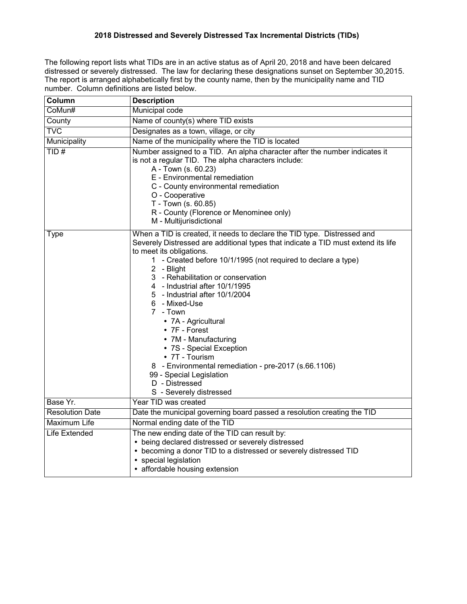## **2018 Distressed and Severely Distressed Tax Incremental Districts (TIDs)**

The following report lists what TIDs are in an active status as of April 20, 2018 and have been delcared distressed or severely distressed. The law for declaring these designations sunset on September 30,2015. The report is arranged alphabetically first by the county name, then by the municipality name and TID number. Column definitions are listed below.

| Column                  | <b>Description</b>                                                                                                                                                                                                                                                                                                                                                                                                                                                                                                                                                                                                                                                    |
|-------------------------|-----------------------------------------------------------------------------------------------------------------------------------------------------------------------------------------------------------------------------------------------------------------------------------------------------------------------------------------------------------------------------------------------------------------------------------------------------------------------------------------------------------------------------------------------------------------------------------------------------------------------------------------------------------------------|
| CoMun#                  | <b>Municipal code</b>                                                                                                                                                                                                                                                                                                                                                                                                                                                                                                                                                                                                                                                 |
| County                  | Name of county(s) where TID exists                                                                                                                                                                                                                                                                                                                                                                                                                                                                                                                                                                                                                                    |
| $\overline{\text{TVC}}$ | Designates as a town, village, or city                                                                                                                                                                                                                                                                                                                                                                                                                                                                                                                                                                                                                                |
| Municipality            | Name of the municipality where the TID is located                                                                                                                                                                                                                                                                                                                                                                                                                                                                                                                                                                                                                     |
| TID#                    | Number assigned to a TID. An alpha character after the number indicates it<br>is not a regular TID. The alpha characters include:<br>A - Town (s. 60.23)<br>E - Environmental remediation<br>C - County environmental remediation<br>O - Cooperative<br>T - Town (s. 60.85)<br>R - County (Florence or Menominee only)<br>M - Multijurisdictional                                                                                                                                                                                                                                                                                                                     |
| Type                    | When a TID is created, it needs to declare the TID type. Distressed and<br>Severely Distressed are additional types that indicate a TID must extend its life<br>to meet its obligations.<br>1 - Created before 10/1/1995 (not required to declare a type)<br>2 - Blight<br>3 - Rehabilitation or conservation<br>4 - Industrial after 10/1/1995<br>5 - Industrial after 10/1/2004<br>6 - Mixed-Use<br>7 - Town<br>• 7A - Agricultural<br>$\bullet$ 7F - Forest<br>• 7M - Manufacturing<br>• 7S - Special Exception<br>• 7T - Tourism<br>8 - Environmental remediation - pre-2017 (s.66.1106)<br>99 - Special Legislation<br>D - Distressed<br>S - Severely distressed |
| Base Yr.                | Year TID was created                                                                                                                                                                                                                                                                                                                                                                                                                                                                                                                                                                                                                                                  |
| <b>Resolution Date</b>  | Date the municipal governing board passed a resolution creating the TID                                                                                                                                                                                                                                                                                                                                                                                                                                                                                                                                                                                               |
| <b>Maximum Life</b>     | Normal ending date of the TID                                                                                                                                                                                                                                                                                                                                                                                                                                                                                                                                                                                                                                         |
| Life Extended           | The new ending date of the TID can result by:<br>• being declared distressed or severely distressed<br>• becoming a donor TID to a distressed or severely distressed TID<br>• special legislation<br>• affordable housing extension                                                                                                                                                                                                                                                                                                                                                                                                                                   |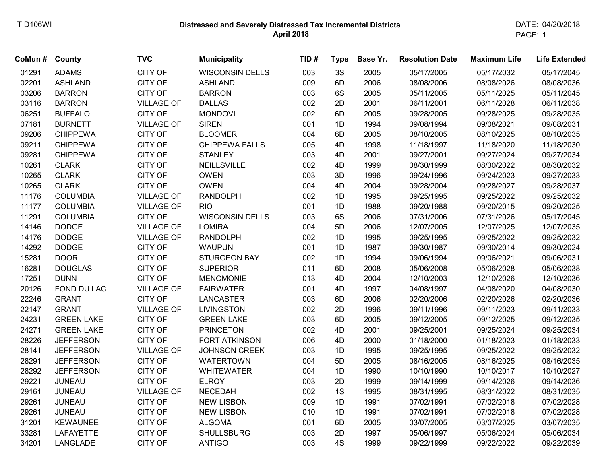## **Distressed and Severely Distressed Tax Incremental Districts** TID106WI DATE: 04/20/2018  **April 2018**

PAGE: 1

| CoMun# | County            | <b>TVC</b>        | <b>Municipality</b>    | TID# | <b>Type</b> | Base Yr. | <b>Resolution Date</b> | <b>Maximum Life</b> | <b>Life Extended</b> |
|--------|-------------------|-------------------|------------------------|------|-------------|----------|------------------------|---------------------|----------------------|
| 01291  | <b>ADAMS</b>      | <b>CITY OF</b>    | <b>WISCONSIN DELLS</b> | 003  | 3S          | 2005     | 05/17/2005             | 05/17/2032          | 05/17/2045           |
| 02201  | <b>ASHLAND</b>    | <b>CITY OF</b>    | <b>ASHLAND</b>         | 009  | 6D          | 2006     | 08/08/2006             | 08/08/2026          | 08/08/2036           |
| 03206  | <b>BARRON</b>     | <b>CITY OF</b>    | <b>BARRON</b>          | 003  | 6S          | 2005     | 05/11/2005             | 05/11/2025          | 05/11/2045           |
| 03116  | <b>BARRON</b>     | <b>VILLAGE OF</b> | <b>DALLAS</b>          | 002  | 2D          | 2001     | 06/11/2001             | 06/11/2028          | 06/11/2038           |
| 06251  | <b>BUFFALO</b>    | <b>CITY OF</b>    | <b>MONDOVI</b>         | 002  | 6D          | 2005     | 09/28/2005             | 09/28/2025          | 09/28/2035           |
| 07181  | <b>BURNETT</b>    | <b>VILLAGE OF</b> | <b>SIREN</b>           | 001  | 1D          | 1994     | 09/08/1994             | 09/08/2021          | 09/08/2031           |
| 09206  | <b>CHIPPEWA</b>   | <b>CITY OF</b>    | <b>BLOOMER</b>         | 004  | 6D          | 2005     | 08/10/2005             | 08/10/2025          | 08/10/2035           |
| 09211  | <b>CHIPPEWA</b>   | <b>CITY OF</b>    | <b>CHIPPEWA FALLS</b>  | 005  | 4D          | 1998     | 11/18/1997             | 11/18/2020          | 11/18/2030           |
| 09281  | <b>CHIPPEWA</b>   | <b>CITY OF</b>    | <b>STANLEY</b>         | 003  | 4D          | 2001     | 09/27/2001             | 09/27/2024          | 09/27/2034           |
| 10261  | <b>CLARK</b>      | <b>CITY OF</b>    | NEILLSVILLE            | 002  | 4D          | 1999     | 08/30/1999             | 08/30/2022          | 08/30/2032           |
| 10265  | <b>CLARK</b>      | <b>CITY OF</b>    | <b>OWEN</b>            | 003  | 3D          | 1996     | 09/24/1996             | 09/24/2023          | 09/27/2033           |
| 10265  | <b>CLARK</b>      | <b>CITY OF</b>    | <b>OWEN</b>            | 004  | 4D          | 2004     | 09/28/2004             | 09/28/2027          | 09/28/2037           |
| 11176  | <b>COLUMBIA</b>   | <b>VILLAGE OF</b> | <b>RANDOLPH</b>        | 002  | 1D          | 1995     | 09/25/1995             | 09/25/2022          | 09/25/2032           |
| 11177  | <b>COLUMBIA</b>   | <b>VILLAGE OF</b> | <b>RIO</b>             | 001  | 1D          | 1988     | 09/20/1988             | 09/20/2015          | 09/20/2025           |
| 11291  | <b>COLUMBIA</b>   | <b>CITY OF</b>    | <b>WISCONSIN DELLS</b> | 003  | 6S          | 2006     | 07/31/2006             | 07/31/2026          | 05/17/2045           |
| 14146  | <b>DODGE</b>      | <b>VILLAGE OF</b> | <b>LOMIRA</b>          | 004  | 5D          | 2006     | 12/07/2005             | 12/07/2025          | 12/07/2035           |
| 14176  | <b>DODGE</b>      | <b>VILLAGE OF</b> | <b>RANDOLPH</b>        | 002  | 1D          | 1995     | 09/25/1995             | 09/25/2022          | 09/25/2032           |
| 14292  | <b>DODGE</b>      | <b>CITY OF</b>    | <b>WAUPUN</b>          | 001  | 1D          | 1987     | 09/30/1987             | 09/30/2014          | 09/30/2024           |
| 15281  | <b>DOOR</b>       | <b>CITY OF</b>    | <b>STURGEON BAY</b>    | 002  | 1D          | 1994     | 09/06/1994             | 09/06/2021          | 09/06/2031           |
| 16281  | <b>DOUGLAS</b>    | <b>CITY OF</b>    | <b>SUPERIOR</b>        | 011  | 6D          | 2008     | 05/06/2008             | 05/06/2028          | 05/06/2038           |
| 17251  | <b>DUNN</b>       | <b>CITY OF</b>    | <b>MENOMONIE</b>       | 013  | 4D          | 2004     | 12/10/2003             | 12/10/2026          | 12/10/2036           |
| 20126  | FOND DU LAC       | <b>VILLAGE OF</b> | <b>FAIRWATER</b>       | 001  | 4D          | 1997     | 04/08/1997             | 04/08/2020          | 04/08/2030           |
| 22246  | <b>GRANT</b>      | <b>CITY OF</b>    | <b>LANCASTER</b>       | 003  | 6D          | 2006     | 02/20/2006             | 02/20/2026          | 02/20/2036           |
| 22147  | <b>GRANT</b>      | <b>VILLAGE OF</b> | <b>LIVINGSTON</b>      | 002  | 2D          | 1996     | 09/11/1996             | 09/11/2023          | 09/11/2033           |
| 24231  | <b>GREEN LAKE</b> | <b>CITY OF</b>    | <b>GREEN LAKE</b>      | 003  | 6D          | 2005     | 09/12/2005             | 09/12/2025          | 09/12/2035           |
| 24271  | <b>GREEN LAKE</b> | <b>CITY OF</b>    | <b>PRINCETON</b>       | 002  | 4D          | 2001     | 09/25/2001             | 09/25/2024          | 09/25/2034           |
| 28226  | <b>JEFFERSON</b>  | <b>CITY OF</b>    | <b>FORT ATKINSON</b>   | 006  | 4D          | 2000     | 01/18/2000             | 01/18/2023          | 01/18/2033           |
| 28141  | <b>JEFFERSON</b>  | <b>VILLAGE OF</b> | <b>JOHNSON CREEK</b>   | 003  | 1D          | 1995     | 09/25/1995             | 09/25/2022          | 09/25/2032           |
| 28291  | <b>JEFFERSON</b>  | <b>CITY OF</b>    | <b>WATERTOWN</b>       | 004  | 5D          | 2005     | 08/16/2005             | 08/16/2025          | 08/16/2035           |
| 28292  | <b>JEFFERSON</b>  | <b>CITY OF</b>    | <b>WHITEWATER</b>      | 004  | 1D          | 1990     | 10/10/1990             | 10/10/2017          | 10/10/2027           |
| 29221  | <b>JUNEAU</b>     | <b>CITY OF</b>    | <b>ELROY</b>           | 003  | 2D          | 1999     | 09/14/1999             | 09/14/2026          | 09/14/2036           |
| 29161  | <b>JUNEAU</b>     | <b>VILLAGE OF</b> | <b>NECEDAH</b>         | 002  | 1S          | 1995     | 08/31/1995             | 08/31/2022          | 08/31/2035           |
| 29261  | <b>JUNEAU</b>     | <b>CITY OF</b>    | <b>NEW LISBON</b>      | 009  | 1D          | 1991     | 07/02/1991             | 07/02/2018          | 07/02/2028           |
| 29261  | <b>JUNEAU</b>     | <b>CITY OF</b>    | <b>NEW LISBON</b>      | 010  | 1D          | 1991     | 07/02/1991             | 07/02/2018          | 07/02/2028           |
| 31201  | <b>KEWAUNEE</b>   | <b>CITY OF</b>    | <b>ALGOMA</b>          | 001  | 6D          | 2005     | 03/07/2005             | 03/07/2025          | 03/07/2035           |
| 33281  | <b>LAFAYETTE</b>  | <b>CITY OF</b>    | <b>SHULLSBURG</b>      | 003  | 2D          | 1997     | 05/06/1997             | 05/06/2024          | 05/06/2034           |
| 34201  | <b>LANGLADE</b>   | <b>CITY OF</b>    | <b>ANTIGO</b>          | 003  | 4S          | 1999     | 09/22/1999             | 09/22/2022          | 09/22/2039           |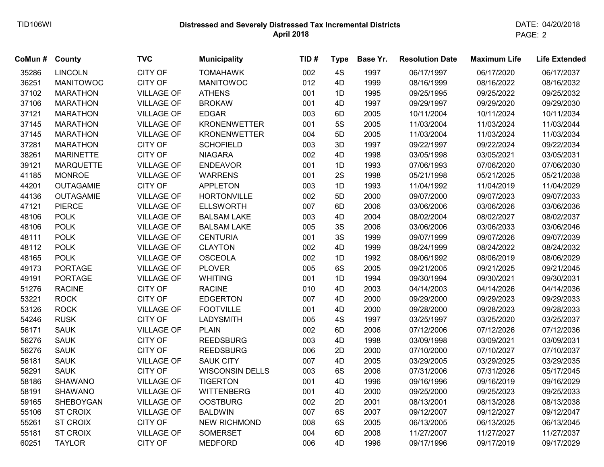## **Distressed and Severely Distressed Tax Incremental Districts** TID106WI DATE: 04/20/2018  **April 2018**

| CoMun# | County           | <b>TVC</b>        | <b>Municipality</b>    | TID# | <b>Type</b> | Base Yr. | <b>Resolution Date</b> | <b>Maximum Life</b> | <b>Life Extended</b> |
|--------|------------------|-------------------|------------------------|------|-------------|----------|------------------------|---------------------|----------------------|
| 35286  | <b>LINCOLN</b>   | CITY OF           | <b>TOMAHAWK</b>        | 002  | 4S          | 1997     | 06/17/1997             | 06/17/2020          | 06/17/2037           |
| 36251  | <b>MANITOWOC</b> | <b>CITY OF</b>    | <b>MANITOWOC</b>       | 012  | 4D          | 1999     | 08/16/1999             | 08/16/2022          | 08/16/2032           |
| 37102  | <b>MARATHON</b>  | <b>VILLAGE OF</b> | <b>ATHENS</b>          | 001  | 1D          | 1995     | 09/25/1995             | 09/25/2022          | 09/25/2032           |
| 37106  | <b>MARATHON</b>  | <b>VILLAGE OF</b> | <b>BROKAW</b>          | 001  | 4D          | 1997     | 09/29/1997             | 09/29/2020          | 09/29/2030           |
| 37121  | <b>MARATHON</b>  | <b>VILLAGE OF</b> | <b>EDGAR</b>           | 003  | 6D          | 2005     | 10/11/2004             | 10/11/2024          | 10/11/2034           |
| 37145  | <b>MARATHON</b>  | <b>VILLAGE OF</b> | <b>KRONENWETTER</b>    | 001  | 5S          | 2005     | 11/03/2004             | 11/03/2024          | 11/03/2044           |
| 37145  | <b>MARATHON</b>  | <b>VILLAGE OF</b> | <b>KRONENWETTER</b>    | 004  | 5D          | 2005     | 11/03/2004             | 11/03/2024          | 11/03/2034           |
| 37281  | <b>MARATHON</b>  | <b>CITY OF</b>    | <b>SCHOFIELD</b>       | 003  | 3D          | 1997     | 09/22/1997             | 09/22/2024          | 09/22/2034           |
| 38261  | <b>MARINETTE</b> | <b>CITY OF</b>    | <b>NIAGARA</b>         | 002  | 4D          | 1998     | 03/05/1998             | 03/05/2021          | 03/05/2031           |
| 39121  | <b>MARQUETTE</b> | <b>VILLAGE OF</b> | <b>ENDEAVOR</b>        | 001  | 1D          | 1993     | 07/06/1993             | 07/06/2020          | 07/06/2030           |
| 41185  | <b>MONROE</b>    | <b>VILLAGE OF</b> | <b>WARRENS</b>         | 001  | 2S          | 1998     | 05/21/1998             | 05/21/2025          | 05/21/2038           |
| 44201  | <b>OUTAGAMIE</b> | <b>CITY OF</b>    | <b>APPLETON</b>        | 003  | 1D          | 1993     | 11/04/1992             | 11/04/2019          | 11/04/2029           |
| 44136  | <b>OUTAGAMIE</b> | <b>VILLAGE OF</b> | <b>HORTONVILLE</b>     | 002  | 5D          | 2000     | 09/07/2000             | 09/07/2023          | 09/07/2033           |
| 47121  | <b>PIERCE</b>    | <b>VILLAGE OF</b> | <b>ELLSWORTH</b>       | 007  | 6D          | 2006     | 03/06/2006             | 03/06/2026          | 03/06/2036           |
| 48106  | <b>POLK</b>      | <b>VILLAGE OF</b> | <b>BALSAM LAKE</b>     | 003  | 4D          | 2004     | 08/02/2004             | 08/02/2027          | 08/02/2037           |
| 48106  | <b>POLK</b>      | <b>VILLAGE OF</b> | <b>BALSAM LAKE</b>     | 005  | 3S          | 2006     | 03/06/2006             | 03/06/2033          | 03/06/2046           |
| 48111  | <b>POLK</b>      | <b>VILLAGE OF</b> | <b>CENTURIA</b>        | 001  | 3S          | 1999     | 09/07/1999             | 09/07/2026          | 09/07/2039           |
| 48112  | <b>POLK</b>      | <b>VILLAGE OF</b> | <b>CLAYTON</b>         | 002  | 4D          | 1999     | 08/24/1999             | 08/24/2022          | 08/24/2032           |
| 48165  | <b>POLK</b>      | <b>VILLAGE OF</b> | <b>OSCEOLA</b>         | 002  | 1D          | 1992     | 08/06/1992             | 08/06/2019          | 08/06/2029           |
| 49173  | <b>PORTAGE</b>   | <b>VILLAGE OF</b> | <b>PLOVER</b>          | 005  | 6S          | 2005     | 09/21/2005             | 09/21/2025          | 09/21/2045           |
| 49191  | <b>PORTAGE</b>   | <b>VILLAGE OF</b> | <b>WHITING</b>         | 001  | 1D          | 1994     | 09/30/1994             | 09/30/2021          | 09/30/2031           |
| 51276  | <b>RACINE</b>    | <b>CITY OF</b>    | <b>RACINE</b>          | 010  | 4D          | 2003     | 04/14/2003             | 04/14/2026          | 04/14/2036           |
| 53221  | <b>ROCK</b>      | <b>CITY OF</b>    | <b>EDGERTON</b>        | 007  | 4D          | 2000     | 09/29/2000             | 09/29/2023          | 09/29/2033           |
| 53126  | <b>ROCK</b>      | <b>VILLAGE OF</b> | <b>FOOTVILLE</b>       | 001  | 4D          | 2000     | 09/28/2000             | 09/28/2023          | 09/28/2033           |
| 54246  | <b>RUSK</b>      | <b>CITY OF</b>    | <b>LADYSMITH</b>       | 005  | 4S          | 1997     | 03/25/1997             | 03/25/2020          | 03/25/2037           |
| 56171  | <b>SAUK</b>      | <b>VILLAGE OF</b> | <b>PLAIN</b>           | 002  | 6D          | 2006     | 07/12/2006             | 07/12/2026          | 07/12/2036           |
| 56276  | <b>SAUK</b>      | <b>CITY OF</b>    | <b>REEDSBURG</b>       | 003  | 4D          | 1998     | 03/09/1998             | 03/09/2021          | 03/09/2031           |
| 56276  | <b>SAUK</b>      | <b>CITY OF</b>    | <b>REEDSBURG</b>       | 006  | 2D          | 2000     | 07/10/2000             | 07/10/2027          | 07/10/2037           |
| 56181  | <b>SAUK</b>      | <b>VILLAGE OF</b> | <b>SAUK CITY</b>       | 007  | 4D          | 2005     | 03/29/2005             | 03/29/2025          | 03/29/2035           |
| 56291  | <b>SAUK</b>      | <b>CITY OF</b>    | <b>WISCONSIN DELLS</b> | 003  | 6S          | 2006     | 07/31/2006             | 07/31/2026          | 05/17/2045           |
| 58186  | <b>SHAWANO</b>   | <b>VILLAGE OF</b> | <b>TIGERTON</b>        | 001  | 4D          | 1996     | 09/16/1996             | 09/16/2019          | 09/16/2029           |
| 58191  | <b>SHAWANO</b>   | <b>VILLAGE OF</b> | <b>WITTENBERG</b>      | 001  | 4D          | 2000     | 09/25/2000             | 09/25/2023          | 09/25/2033           |
| 59165  | SHEBOYGAN        | <b>VILLAGE OF</b> | <b>OOSTBURG</b>        | 002  | 2D          | 2001     | 08/13/2001             | 08/13/2028          | 08/13/2038           |
| 55106  | <b>ST CROIX</b>  | <b>VILLAGE OF</b> | <b>BALDWIN</b>         | 007  | 6S          | 2007     | 09/12/2007             | 09/12/2027          | 09/12/2047           |
| 55261  | <b>ST CROIX</b>  | <b>CITY OF</b>    | <b>NEW RICHMOND</b>    | 008  | 6S          | 2005     | 06/13/2005             | 06/13/2025          | 06/13/2045           |
| 55181  | <b>ST CROIX</b>  | <b>VILLAGE OF</b> | <b>SOMERSET</b>        | 004  | 6D          | 2008     | 11/27/2007             | 11/27/2027          | 11/27/2037           |
| 60251  | <b>TAYLOR</b>    | <b>CITY OF</b>    | <b>MEDFORD</b>         | 006  | 4D          | 1996     | 09/17/1996             | 09/17/2019          | 09/17/2029           |